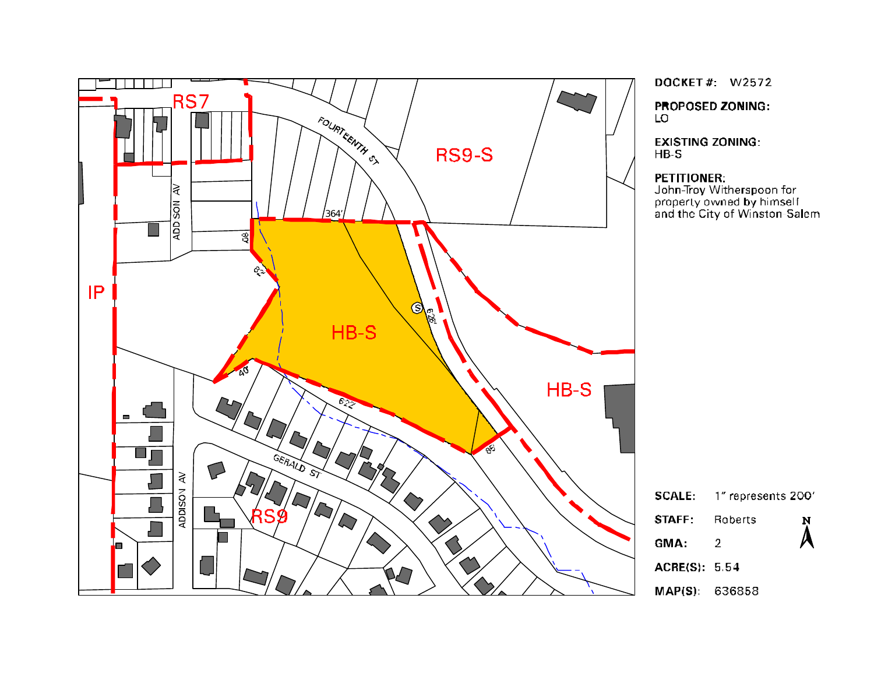

DOCKET#: W2572

**PROPOSED ZONING:** LO

**EXISTING ZONING:**  $HB-S$ 

#### PETITIONER:

John-Troy Witherspoon for<br>property owned by himself<br>and the City of Winston-Salem

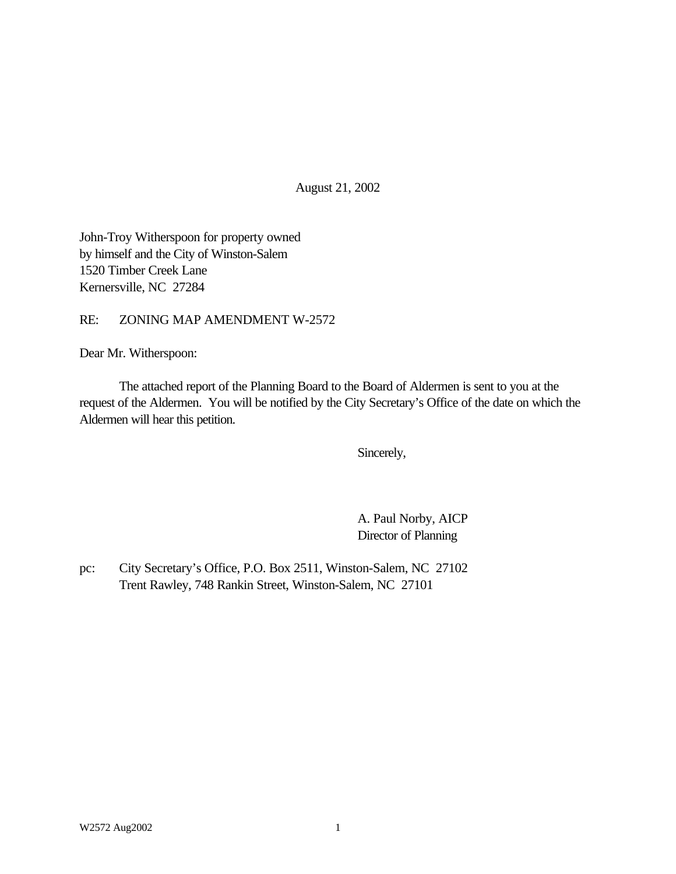August 21, 2002

John-Troy Witherspoon for property owned by himself and the City of Winston-Salem 1520 Timber Creek Lane Kernersville, NC 27284

RE: ZONING MAP AMENDMENT W-2572

Dear Mr. Witherspoon:

The attached report of the Planning Board to the Board of Aldermen is sent to you at the request of the Aldermen. You will be notified by the City Secretary's Office of the date on which the Aldermen will hear this petition.

Sincerely,

A. Paul Norby, AICP Director of Planning

pc: City Secretary's Office, P.O. Box 2511, Winston-Salem, NC 27102 Trent Rawley, 748 Rankin Street, Winston-Salem, NC 27101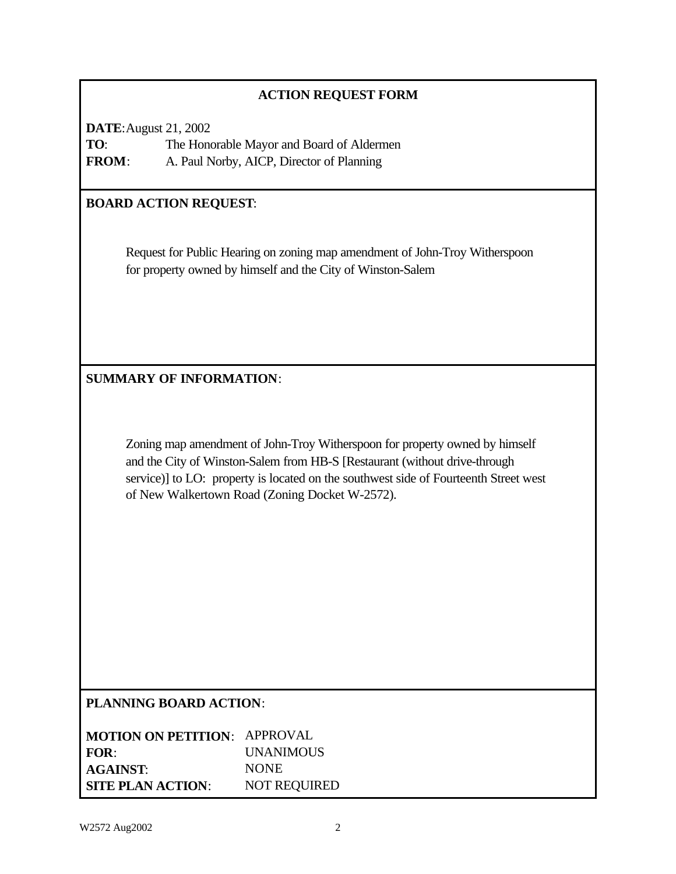### **ACTION REQUEST FORM**

**DATE**:August 21, 2002 **TO**: The Honorable Mayor and Board of Aldermen **FROM**: A. Paul Norby, AICP, Director of Planning

# **BOARD ACTION REQUEST**:

Request for Public Hearing on zoning map amendment of John-Troy Witherspoon for property owned by himself and the City of Winston-Salem

**SUMMARY OF INFORMATION**:

Zoning map amendment of John-Troy Witherspoon for property owned by himself and the City of Winston-Salem from HB-S [Restaurant (without drive-through service)] to LO: property is located on the southwest side of Fourteenth Street west of New Walkertown Road (Zoning Docket W-2572).

#### **PLANNING BOARD ACTION**:

| <b>MOTION ON PETITION: APPROVAL</b> |                     |
|-------------------------------------|---------------------|
| FOR:                                | <b>UNANIMOUS</b>    |
| <b>AGAINST:</b>                     | <b>NONE</b>         |
| <b>SITE PLAN ACTION:</b>            | <b>NOT REQUIRED</b> |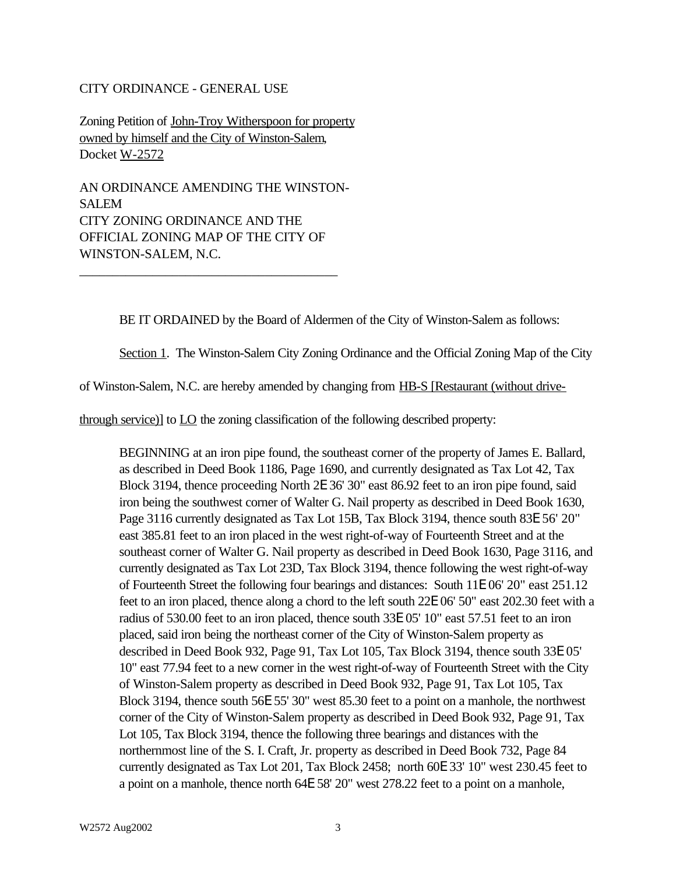#### CITY ORDINANCE - GENERAL USE

Zoning Petition of John-Troy Witherspoon for property owned by himself and the City of Winston-Salem, Docket W-2572

AN ORDINANCE AMENDING THE WINSTON-SALEM CITY ZONING ORDINANCE AND THE OFFICIAL ZONING MAP OF THE CITY OF WINSTON-SALEM, N.C.

\_\_\_\_\_\_\_\_\_\_\_\_\_\_\_\_\_\_\_\_\_\_\_\_\_\_\_\_\_\_\_\_\_\_\_\_\_\_\_

BE IT ORDAINED by the Board of Aldermen of the City of Winston-Salem as follows:

Section 1. The Winston-Salem City Zoning Ordinance and the Official Zoning Map of the City

of Winston-Salem, N.C. are hereby amended by changing from HB-S [Restaurant (without drive-

through service)] to LO the zoning classification of the following described property:

BEGINNING at an iron pipe found, the southeast corner of the property of James E. Ballard, as described in Deed Book 1186, Page 1690, and currently designated as Tax Lot 42, Tax Block 3194, thence proceeding North 2E 36' 30" east 86.92 feet to an iron pipe found, said iron being the southwest corner of Walter G. Nail property as described in Deed Book 1630, Page 3116 currently designated as Tax Lot 15B, Tax Block 3194, thence south 83E 56' 20" east 385.81 feet to an iron placed in the west right-of-way of Fourteenth Street and at the southeast corner of Walter G. Nail property as described in Deed Book 1630, Page 3116, and currently designated as Tax Lot 23D, Tax Block 3194, thence following the west right-of-way of Fourteenth Street the following four bearings and distances: South 11E 06' 20" east 251.12 feet to an iron placed, thence along a chord to the left south 22E 06' 50" east 202.30 feet with a radius of 530.00 feet to an iron placed, thence south 33E 05' 10" east 57.51 feet to an iron placed, said iron being the northeast corner of the City of Winston-Salem property as described in Deed Book 932, Page 91, Tax Lot 105, Tax Block 3194, thence south 33E 05' 10" east 77.94 feet to a new corner in the west right-of-way of Fourteenth Street with the City of Winston-Salem property as described in Deed Book 932, Page 91, Tax Lot 105, Tax Block 3194, thence south 56E 55' 30" west 85.30 feet to a point on a manhole, the northwest corner of the City of Winston-Salem property as described in Deed Book 932, Page 91, Tax Lot 105, Tax Block 3194, thence the following three bearings and distances with the northernmost line of the S. I. Craft, Jr. property as described in Deed Book 732, Page 84 currently designated as Tax Lot 201, Tax Block 2458; north 60E 33' 10" west 230.45 feet to a point on a manhole, thence north 64E 58' 20" west 278.22 feet to a point on a manhole,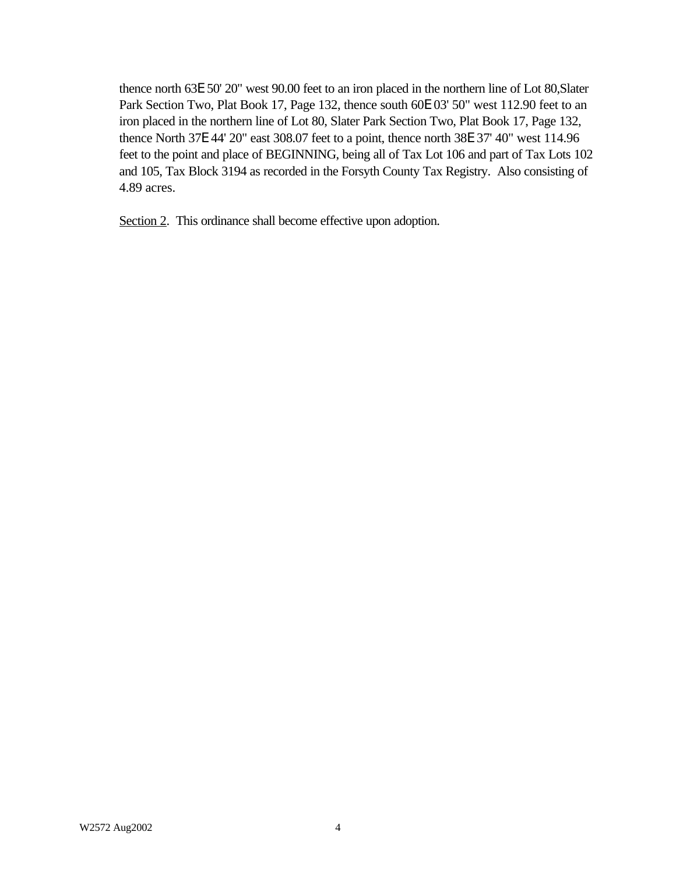thence north 63E 50' 20" west 90.00 feet to an iron placed in the northern line of Lot 80,Slater Park Section Two, Plat Book 17, Page 132, thence south 60E 03' 50" west 112.90 feet to an iron placed in the northern line of Lot 80, Slater Park Section Two, Plat Book 17, Page 132, thence North 37E 44' 20" east 308.07 feet to a point, thence north 38E 37' 40" west 114.96 feet to the point and place of BEGINNING, being all of Tax Lot 106 and part of Tax Lots 102 and 105, Tax Block 3194 as recorded in the Forsyth County Tax Registry. Also consisting of 4.89 acres.

Section 2. This ordinance shall become effective upon adoption.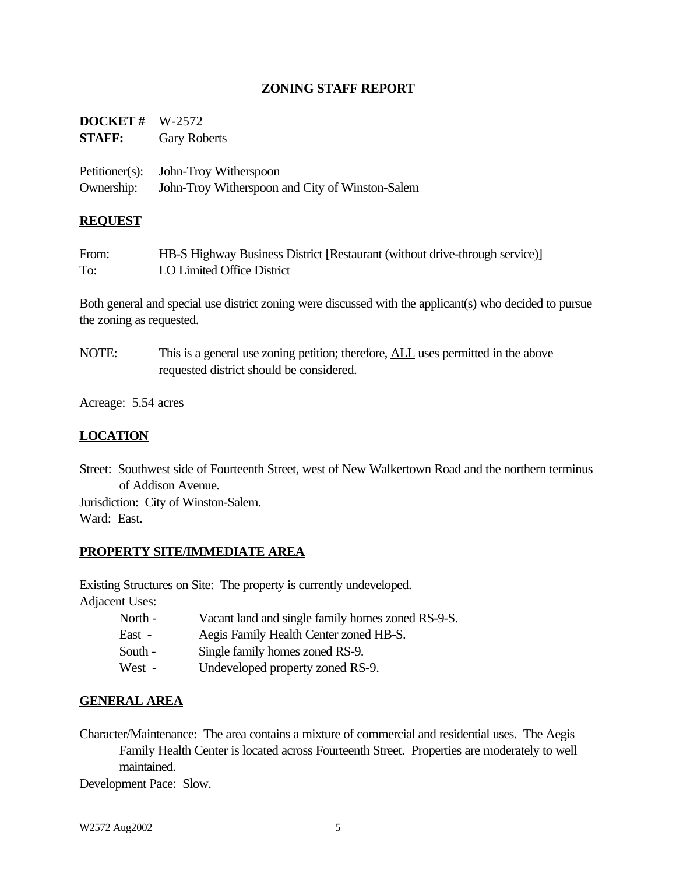#### **ZONING STAFF REPORT**

| <b>DOCKET</b> # $W-2572$ |                                                 |
|--------------------------|-------------------------------------------------|
| <b>STAFF:</b>            | <b>Gary Roberts</b>                             |
|                          |                                                 |
|                          | Petitioner(s): John-Troy Witherspoon            |
| Ownership:               | John-Troy Witherspoon and City of Winston-Salem |

#### **REQUEST**

| From: | HB-S Highway Business District [Restaurant (without drive-through service)] |
|-------|-----------------------------------------------------------------------------|
| To:   | LO Limited Office District                                                  |

Both general and special use district zoning were discussed with the applicant(s) who decided to pursue the zoning as requested.

NOTE: This is a general use zoning petition; therefore, **ALL** uses permitted in the above requested district should be considered.

Acreage: 5.54 acres

### **LOCATION**

Street: Southwest side of Fourteenth Street, west of New Walkertown Road and the northern terminus of Addison Avenue.

Jurisdiction: City of Winston-Salem. Ward: East.

#### **PROPERTY SITE/IMMEDIATE AREA**

Existing Structures on Site: The property is currently undeveloped.

Adjacent Uses:

- North Vacant land and single family homes zoned RS-9-S.
- East Aegis Family Health Center zoned HB-S.
- South Single family homes zoned RS-9.
- West Undeveloped property zoned RS-9.

#### **GENERAL AREA**

Character/Maintenance: The area contains a mixture of commercial and residential uses. The Aegis Family Health Center is located across Fourteenth Street. Properties are moderately to well maintained.

Development Pace: Slow.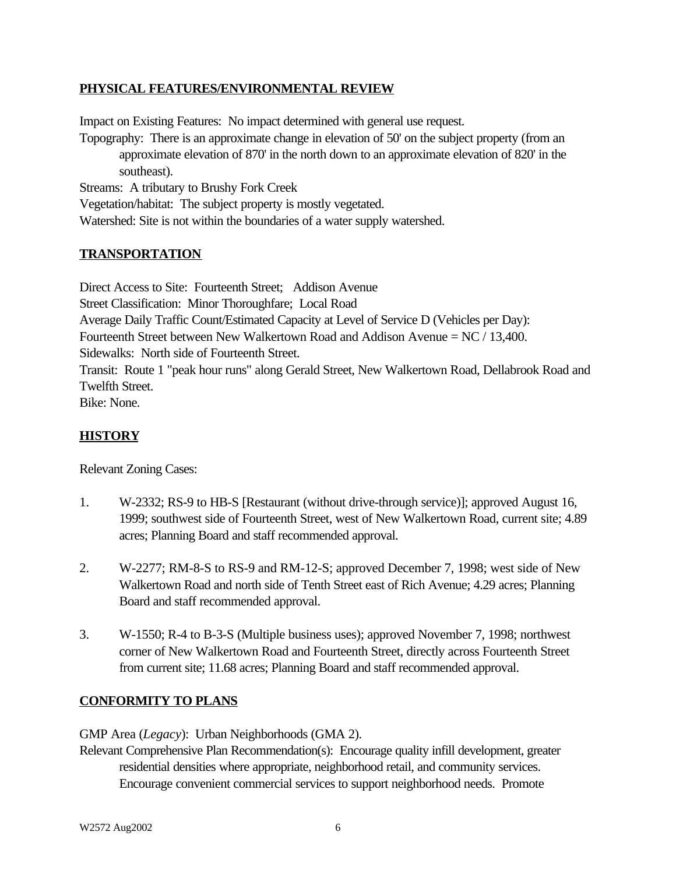### **PHYSICAL FEATURES/ENVIRONMENTAL REVIEW**

Impact on Existing Features: No impact determined with general use request. Topography: There is an approximate change in elevation of 50' on the subject property (from an approximate elevation of 870' in the north down to an approximate elevation of 820' in the southeast). Streams: A tributary to Brushy Fork Creek

Vegetation/habitat: The subject property is mostly vegetated. Watershed: Site is not within the boundaries of a water supply watershed.

### **TRANSPORTATION**

Direct Access to Site: Fourteenth Street; Addison Avenue Street Classification: Minor Thoroughfare; Local Road Average Daily Traffic Count/Estimated Capacity at Level of Service D (Vehicles per Day): Fourteenth Street between New Walkertown Road and Addison Avenue = NC / 13,400. Sidewalks: North side of Fourteenth Street. Transit: Route 1 "peak hour runs" along Gerald Street, New Walkertown Road, Dellabrook Road and Twelfth Street. Bike: None.

### **HISTORY**

Relevant Zoning Cases:

- 1. W-2332; RS-9 to HB-S [Restaurant (without drive-through service)]; approved August 16, 1999; southwest side of Fourteenth Street, west of New Walkertown Road, current site; 4.89 acres; Planning Board and staff recommended approval.
- 2. W-2277; RM-8-S to RS-9 and RM-12-S; approved December 7, 1998; west side of New Walkertown Road and north side of Tenth Street east of Rich Avenue; 4.29 acres; Planning Board and staff recommended approval.
- 3. W-1550; R-4 to B-3-S (Multiple business uses); approved November 7, 1998; northwest corner of New Walkertown Road and Fourteenth Street, directly across Fourteenth Street from current site; 11.68 acres; Planning Board and staff recommended approval.

#### **CONFORMITY TO PLANS**

GMP Area (*Legacy*): Urban Neighborhoods (GMA 2).

Relevant Comprehensive Plan Recommendation(s): Encourage quality infill development, greater residential densities where appropriate, neighborhood retail, and community services. Encourage convenient commercial services to support neighborhood needs. Promote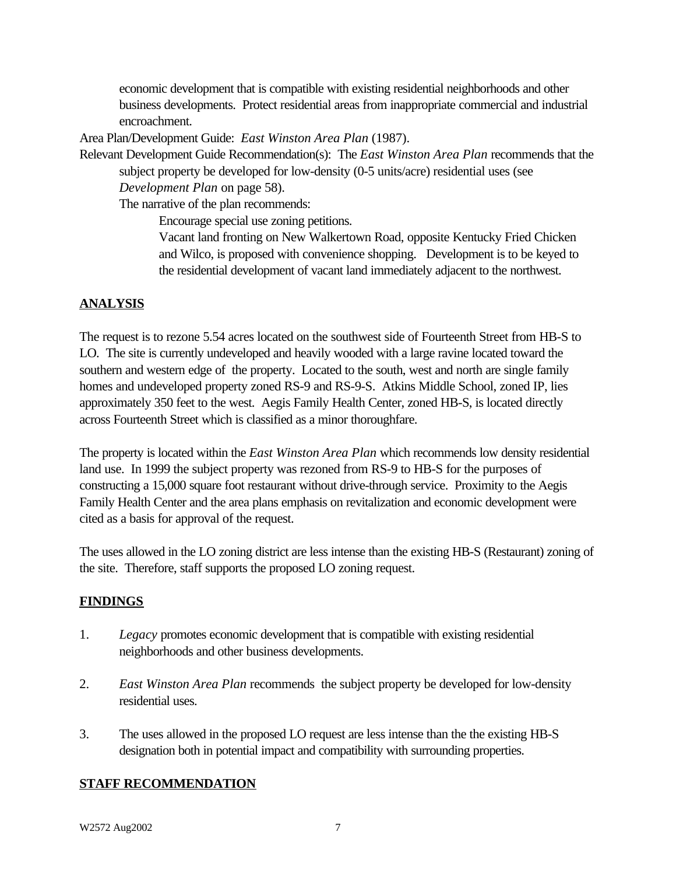economic development that is compatible with existing residential neighborhoods and other business developments. Protect residential areas from inappropriate commercial and industrial encroachment.

Area Plan/Development Guide: *East Winston Area Plan* (1987).

Relevant Development Guide Recommendation(s): The *East Winston Area Plan* recommends that the subject property be developed for low-density (0-5 units/acre) residential uses (see

*Development Plan* on page 58).

The narrative of the plan recommends:

Encourage special use zoning petitions.

Vacant land fronting on New Walkertown Road, opposite Kentucky Fried Chicken and Wilco, is proposed with convenience shopping. Development is to be keyed to the residential development of vacant land immediately adjacent to the northwest.

# **ANALYSIS**

The request is to rezone 5.54 acres located on the southwest side of Fourteenth Street from HB-S to LO. The site is currently undeveloped and heavily wooded with a large ravine located toward the southern and western edge of the property. Located to the south, west and north are single family homes and undeveloped property zoned RS-9 and RS-9-S. Atkins Middle School, zoned IP, lies approximately 350 feet to the west. Aegis Family Health Center, zoned HB-S, is located directly across Fourteenth Street which is classified as a minor thoroughfare.

The property is located within the *East Winston Area Plan* which recommends low density residential land use. In 1999 the subject property was rezoned from RS-9 to HB-S for the purposes of constructing a 15,000 square foot restaurant without drive-through service. Proximity to the Aegis Family Health Center and the area plans emphasis on revitalization and economic development were cited as a basis for approval of the request.

The uses allowed in the LO zoning district are less intense than the existing HB-S (Restaurant) zoning of the site. Therefore, staff supports the proposed LO zoning request.

### **FINDINGS**

- 1. *Legacy* promotes economic development that is compatible with existing residential neighborhoods and other business developments.
- 2. *East Winston Area Plan* recommends the subject property be developed for low-density residential uses.
- 3. The uses allowed in the proposed LO request are less intense than the the existing HB-S designation both in potential impact and compatibility with surrounding properties.

### **STAFF RECOMMENDATION**